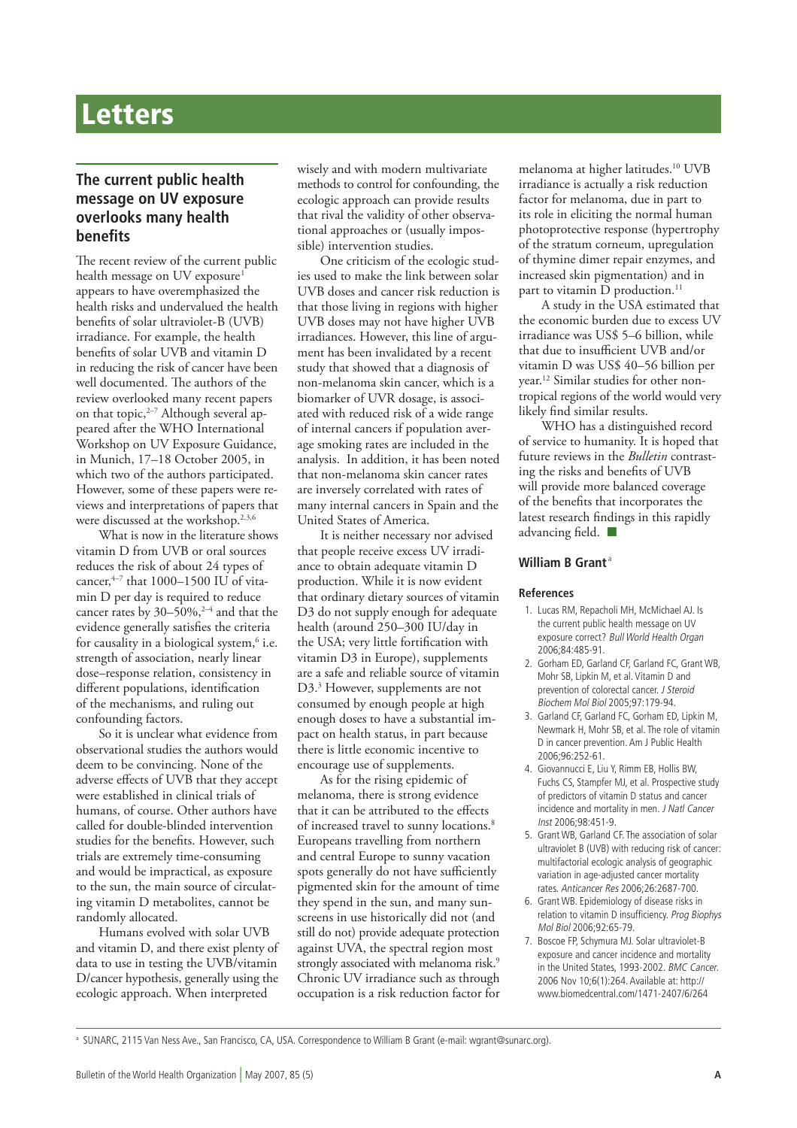# **Letters**

## **The current public health message on UV exposure overlooks many health benefits**

The recent review of the current public health message on UV exposure<sup>1</sup> appears to have overemphasized the health risks and undervalued the health benefits of solar ultraviolet-B (UVB) irradiance. For example, the health benefits of solar UVB and vitamin D in reducing the risk of cancer have been well documented. The authors of the review overlooked many recent papers on that topic, $2-7$  Although several appeared after the WHO International Workshop on UV Exposure Guidance, in Munich, 17–18 October 2005, in which two of the authors participated. However, some of these papers were reviews and interpretations of papers that were discussed at the workshop.<sup>2,3,6</sup>

What is now in the literature shows vitamin D from UVB or oral sources reduces the risk of about 24 types of cancer, $4-7$  that 1000–1500 IU of vitamin D per day is required to reduce cancer rates by  $30-50\%$ ,<sup>2-4</sup> and that the evidence generally satisfies the criteria for causality in a biological system,<sup>6</sup> i.e. strength of association, nearly linear dose–response relation, consistency in different populations, identification of the mechanisms, and ruling out confounding factors.

So it is unclear what evidence from observational studies the authors would deem to be convincing. None of the adverse effects of UVB that they accept were established in clinical trials of humans, of course. Other authors have called for double-blinded intervention studies for the benefits. However, such trials are extremely time-consuming and would be impractical, as exposure to the sun, the main source of circulating vitamin D metabolites, cannot be randomly allocated.

Humans evolved with solar UVB and vitamin D, and there exist plenty of data to use in testing the UVB/vitamin D/cancer hypothesis, generally using the ecologic approach. When interpreted

wisely and with modern multivariate methods to control for confounding, the ecologic approach can provide results that rival the validity of other observational approaches or (usually impossible) intervention studies.

One criticism of the ecologic studies used to make the link between solar UVB doses and cancer risk reduction is that those living in regions with higher UVB doses may not have higher UVB irradiances. However, this line of argument has been invalidated by a recent study that showed that a diagnosis of non-melanoma skin cancer, which is a biomarker of UVR dosage, is associated with reduced risk of a wide range of internal cancers if population average smoking rates are included in the analysis. In addition, it has been noted that non-melanoma skin cancer rates are inversely correlated with rates of many internal cancers in Spain and the United States of America.

It is neither necessary nor advised that people receive excess UV irradiance to obtain adequate vitamin D production. While it is now evident that ordinary dietary sources of vitamin D3 do not supply enough for adequate health (around 250–300 IU/day in the USA; very little fortification with vitamin D3 in Europe), supplements are a safe and reliable source of vitamin D3.<sup>3</sup> However, supplements are not consumed by enough people at high enough doses to have a substantial impact on health status, in part because there is little economic incentive to encourage use of supplements.

As for the rising epidemic of melanoma, there is strong evidence that it can be attributed to the effects of increased travel to sunny locations.<sup>8</sup> Europeans travelling from northern and central Europe to sunny vacation spots generally do not have sufficiently pigmented skin for the amount of time they spend in the sun, and many sunscreens in use historically did not (and still do not) provide adequate protection against UVA, the spectral region most strongly associated with melanoma risk.<sup>9</sup> Chronic UV irradiance such as through occupation is a risk reduction factor for melanoma at higher latitudes.10 UVB irradiance is actually a risk reduction factor for melanoma, due in part to its role in eliciting the normal human photoprotective response (hypertrophy of the stratum corneum, upregulation of thymine dimer repair enzymes, and increased skin pigmentation) and in part to vitamin  $\overline{D}$  production.<sup>11</sup>

A study in the USA estimated that the economic burden due to excess UV irradiance was US\$ 5–6 billion, while that due to insufficient UVB and/or vitamin D was US\$ 40–56 billion per year.12 Similar studies for other nontropical regions of the world would very likely find similar results.

WHO has a distinguished record of service to humanity. It is hoped that future reviews in the *Bulletin* contrasting the risks and benefits of UVB will provide more balanced coverage of the benefits that incorporates the latest research findings in this rapidly advancing field.  $\blacksquare$ 

#### **William B Grant**<sup>a</sup>

#### **References**

- 1. Lucas RM, Repacholi MH, McMichael AJ. Is the current public health message on UV exposure correct? Bull World Health Organ 2006;84:485-91.
- 2. Gorham ED, Garland CF, Garland FC, Grant WB, Mohr SB, Lipkin M, et al. Vitamin D and prevention of colorectal cancer. J Steroid Biochem Mol Biol 2005;97:179-94.
- 3. Garland CF, Garland FC, Gorham ED, Lipkin M, Newmark H, Mohr SB, et al. The role of vitamin D in cancer prevention. Am J Public Health 2006;96:252-61.
- 4. Giovannucci E, Liu Y, Rimm EB, Hollis BW, Fuchs CS, Stampfer MJ, et al. Prospective study of predictors of vitamin D status and cancer incidence and mortality in men. J Natl Cancer Inst 2006;98:451-9.
- 5. Grant WB, Garland CF. The association of solar ultraviolet B (UVB) with reducing risk of cancer: multifactorial ecologic analysis of geographic variation in age-adjusted cancer mortality rates. Anticancer Res 2006;26:2687-700.
- 6. Grant WB. Epidemiology of disease risks in relation to vitamin D insufficiency. Prog Biophys Mol Biol 2006;92:65-79.
- 7. Boscoe FP, Schymura MJ. Solar ultraviolet-B exposure and cancer incidence and mortality in the United States, 1993-2002. BMC Cancer. 2006 Nov 10;6(1):264. Available at: http:// www.biomedcentral.com/1471-2407/6/264

a SUNARC, 2115 Van Ness Ave., San Francisco, CA, USA. Correspondence to William B Grant (e-mail: wgrant@sunarc.org).